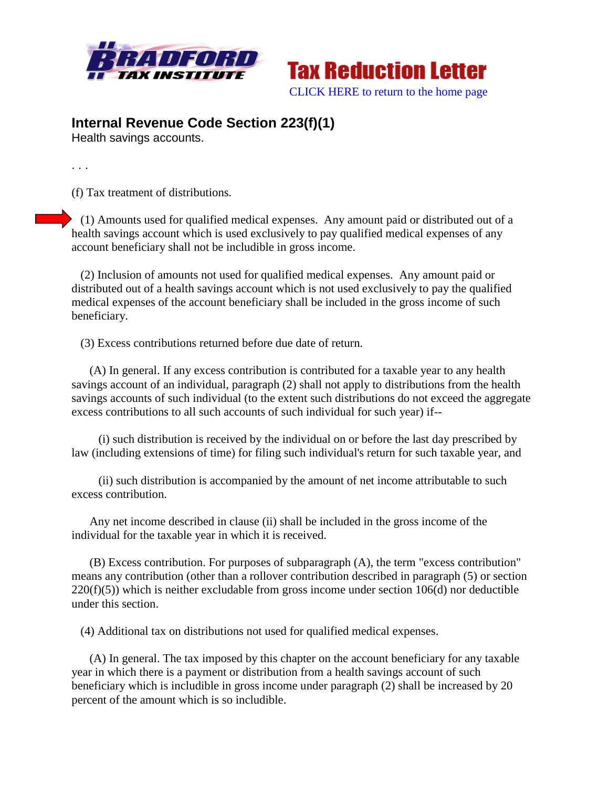



## **Internal Revenue Code Section 223(f)(1)**

Health savings accounts.

. . .

(f) Tax treatment of distributions.

 (1) Amounts used for qualified medical expenses. Any amount paid or distributed out of a health savings account which is used exclusively to pay qualified medical expenses of any account beneficiary shall not be includible in gross income.

 (2) Inclusion of amounts not used for qualified medical expenses. Any amount paid or distributed out of a health savings account which is not used exclusively to pay the qualified medical expenses of the account beneficiary shall be included in the gross income of such beneficiary.

(3) Excess contributions returned before due date of return.

 (A) In general. If any excess contribution is contributed for a taxable year to any health savings account of an individual, paragraph (2) shall not apply to distributions from the health savings accounts of such individual (to the extent such distributions do not exceed the aggregate excess contributions to all such accounts of such individual for such year) if--

 (i) such distribution is received by the individual on or before the last day prescribed by law (including extensions of time) for filing such individual's return for such taxable year, and

 (ii) such distribution is accompanied by the amount of net income attributable to such excess contribution.

 Any net income described in clause (ii) shall be included in the gross income of the individual for the taxable year in which it is received.

 (B) Excess contribution. For purposes of subparagraph (A), the term "excess contribution" means any contribution (other than a rollover contribution described in paragraph (5) or section  $220(f)(5)$ ) which is neither excludable from gross income under section 106(d) nor deductible under this section.

(4) Additional tax on distributions not used for qualified medical expenses.

 (A) In general. The tax imposed by this chapter on the account beneficiary for any taxable year in which there is a payment or distribution from a health savings account of such beneficiary which is includible in gross income under paragraph (2) shall be increased by 20 percent of the amount which is so includible.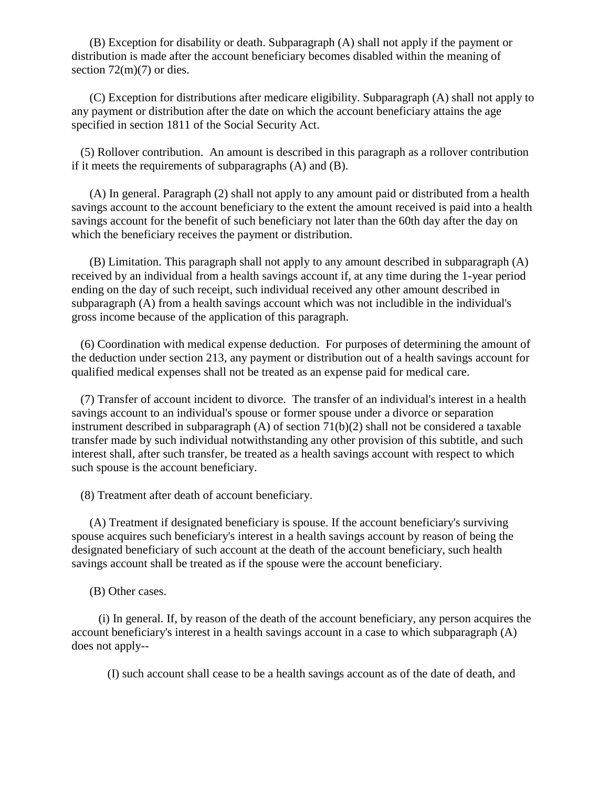(B) Exception for disability or death. Subparagraph (A) shall not apply if the payment or distribution is made after the account beneficiary becomes disabled within the meaning of section  $72(m)(7)$  or dies.

 (C) Exception for distributions after medicare eligibility. Subparagraph (A) shall not apply to any payment or distribution after the date on which the account beneficiary attains the age specified in section 1811 of the Social Security Act.

 (5) Rollover contribution. An amount is described in this paragraph as a rollover contribution if it meets the requirements of subparagraphs (A) and (B).

 (A) In general. Paragraph (2) shall not apply to any amount paid or distributed from a health savings account to the account beneficiary to the extent the amount received is paid into a health savings account for the benefit of such beneficiary not later than the 60th day after the day on which the beneficiary receives the payment or distribution.

 (B) Limitation. This paragraph shall not apply to any amount described in subparagraph (A) received by an individual from a health savings account if, at any time during the 1-year period ending on the day of such receipt, such individual received any other amount described in subparagraph (A) from a health savings account which was not includible in the individual's gross income because of the application of this paragraph.

 (6) Coordination with medical expense deduction. For purposes of determining the amount of the deduction under section 213, any payment or distribution out of a health savings account for qualified medical expenses shall not be treated as an expense paid for medical care.

 (7) Transfer of account incident to divorce. The transfer of an individual's interest in a health savings account to an individual's spouse or former spouse under a divorce or separation instrument described in subparagraph (A) of section 71(b)(2) shall not be considered a taxable transfer made by such individual notwithstanding any other provision of this subtitle, and such interest shall, after such transfer, be treated as a health savings account with respect to which such spouse is the account beneficiary.

(8) Treatment after death of account beneficiary.

 (A) Treatment if designated beneficiary is spouse. If the account beneficiary's surviving spouse acquires such beneficiary's interest in a health savings account by reason of being the designated beneficiary of such account at the death of the account beneficiary, such health savings account shall be treated as if the spouse were the account beneficiary.

(B) Other cases.

 (i) In general. If, by reason of the death of the account beneficiary, any person acquires the account beneficiary's interest in a health savings account in a case to which subparagraph (A) does not apply--

(I) such account shall cease to be a health savings account as of the date of death, and